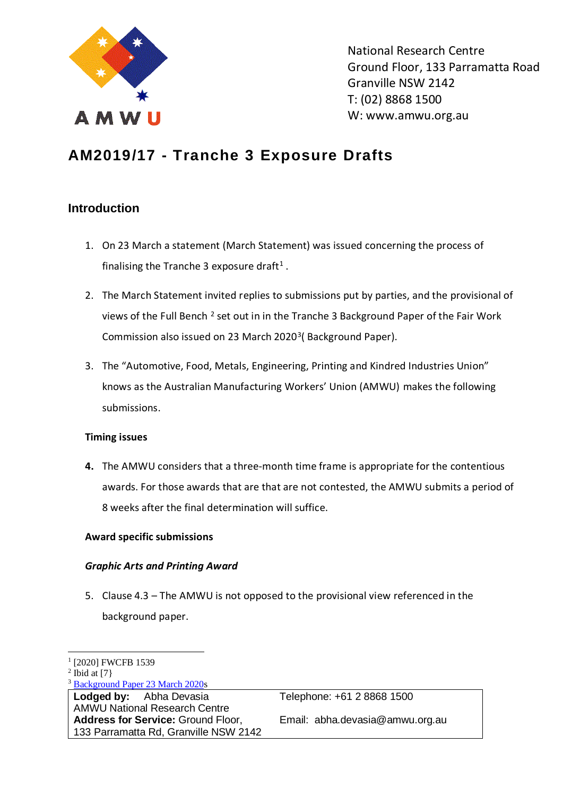

National Research Centre Ground Floor, 133 Parramatta Road Granville NSW 2142 T: (02) 8868 1500 W: www.amwu.org.au

# **AM2019/17 - Tranche 3 Exposure Drafts**

## **Introduction**

- 1. On 23 March a statement (March Statement) was issued concerning the process of finalising the Tranche 3 exposure draft<sup>1</sup>.
- 2. The March Statement invited replies to submissions put by parties, and the provisional of views of the Full Bench <sup>2</sup> set out in in the Tranche 3 Background Paper of the Fair Work Commission also issued on 23 March 2020<sup>3</sup> (Background Paper).
- 3. The "Automotive, Food, Metals, Engineering, Printing and Kindred Industries Union" knows as the Australian Manufacturing Workers' Union (AMWU) makes the following submissions.

### **Timing issues**

**4.** The AMWU considers that a three-month time frame is appropriate for the contentious awards. For those awards that are that are not contested, the AMWU submits a period of 8 weeks after the final determination will suffice.

### **Award specific submissions**

### *Graphic Arts and Printing Award*

5. Clause 4.3 – The AMWU is not opposed to the provisional view referenced in the background paper.

Telephone: +61 2 8868 1500 Email: abha.devasia@amwu.org.au

<sup>&</sup>lt;sup>1</sup> [2020] FWCFB 1539

 $2$  Ibid at [7]

<sup>3</sup> [Background Paper 23 March 2020s](https://www.fwc.gov.au/documents/sites/awardsmodernfouryr/am201917-background-paper-230320.pdf)

**Lodged by:** Abha Devasia AMWU National Research Centre **Address for Service:** Ground Floor, 133 Parramatta Rd, Granville NSW 2142